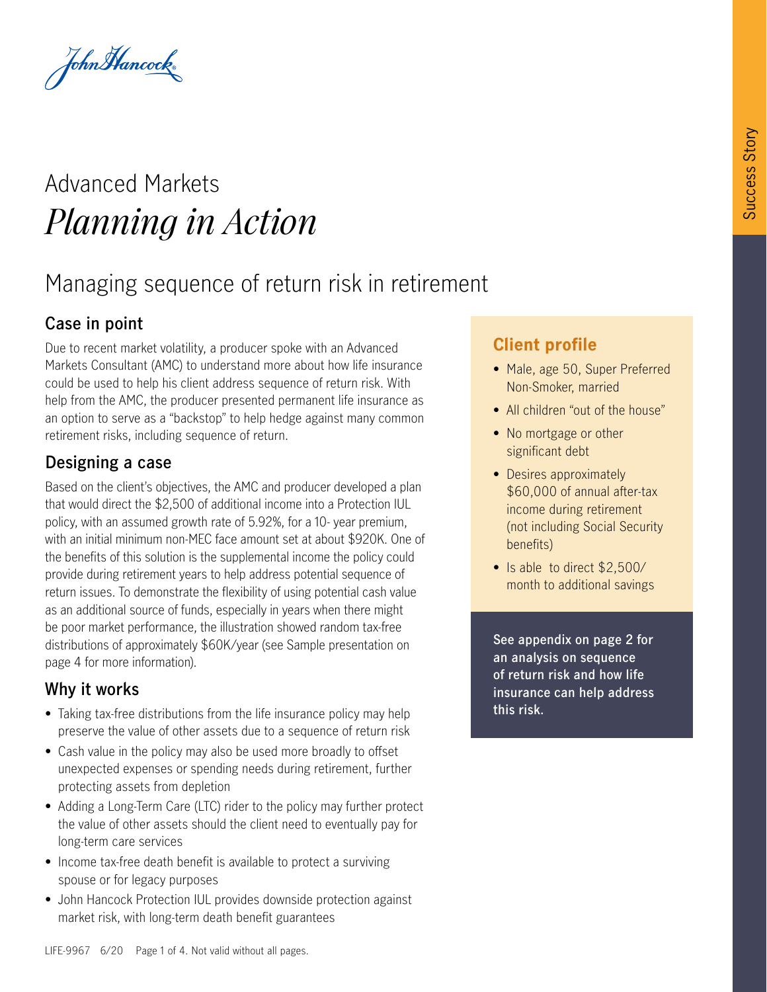John Hancock

# Advanced Markets *Planning in Action*

# Managing sequence of return risk in retirement

## **Case in point**

Due to recent market volatility, a producer spoke with an Advanced Markets Consultant (AMC) to understand more about how life insurance could be used to help his client address sequence of return risk. With help from the AMC, the producer presented permanent life insurance as an option to serve as a "backstop" to help hedge against many common retirement risks, including sequence of return.

## **Designing a case**

Based on the client's objectives, the AMC and producer developed a plan that would direct the \$2,500 of additional income into a Protection IUL policy, with an assumed growth rate of 5.92%, for a 10- year premium, with an initial minimum non-MEC face amount set at about \$920K. One of the benefits of this solution is the supplemental income the policy could provide during retirement years to help address potential sequence of return issues. To demonstrate the flexibility of using potential cash value as an additional source of funds, especially in years when there might be poor market performance, the illustration showed random tax-free distributions of approximately \$60K/year (see Sample presentation on page 4 for more information).

### **Why it works**

- Taking tax-free distributions from the life insurance policy may help preserve the value of other assets due to a sequence of return risk
- Cash value in the policy may also be used more broadly to offset unexpected expenses or spending needs during retirement, further protecting assets from depletion
- Adding a Long-Term Care (LTC) rider to the policy may further protect the value of other assets should the client need to eventually pay for long-term care services
- Income tax-free death benefit is available to protect a surviving spouse or for legacy purposes
- John Hancock Protection IUL provides downside protection against market risk, with long-term death benefit guarantees

# **Client profile**

- Male, age 50, Super Preferred Non-Smoker, married
- All children "out of the house"
- No mortgage or other significant debt
- Desires approximately \$60,000 of annual after-tax income during retirement (not including Social Security benefits)
- Is able to direct \$2,500/ month to additional savings

**See appendix on page 2 for an analysis on sequence of return risk and how life insurance can help address this risk.**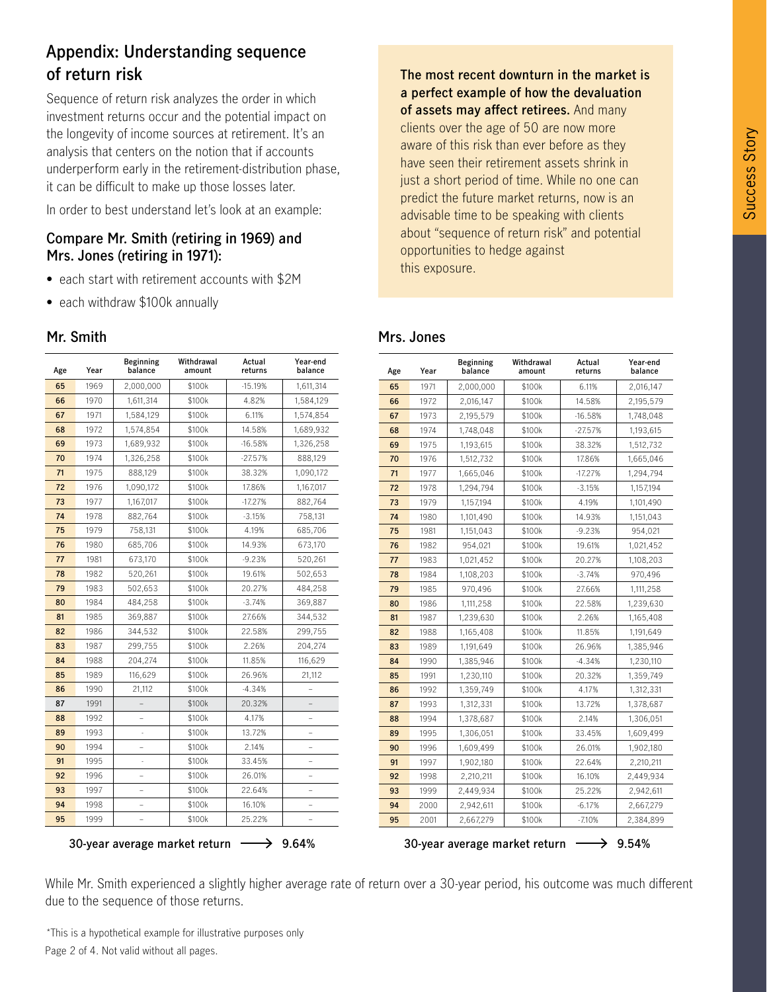## **Appendix: Understanding sequence of return risk**

Sequence of return risk analyzes the order in which investment returns occur and the potential impact on the longevity of income sources at retirement. It's an analysis that centers on the notion that if accounts underperform early in the retirement-distribution phase, it can be difficult to make up those losses later.

In order to best understand let's look at an example:

#### **Compare Mr. Smith (retiring in 1969) and Mrs. Jones (retiring in 1971):**

- each start with retirement accounts with \$2M
- each withdraw \$100k annually

#### **Mr. Smith**

| Age | Year | Beginning<br>balance | Withdrawal<br>amount | Actual<br>returns | Year-end<br>balance |
|-----|------|----------------------|----------------------|-------------------|---------------------|
| 65  | 1969 | 2,000,000            | \$100k               | $-15.19%$         | 1,611,314           |
| 66  | 1970 | 1,611,314            | \$100k               | 4.82%             | 1,584,129           |
| 67  | 1971 | 1,584,129            | \$100k               | 6.11%             | 1,574,854           |
| 68  | 1972 | 1,574,854            | \$100k               | 14.58%            | 1,689,932           |
| 69  | 1973 | 1,689,932            | \$100k               | $-16.58%$         | 1,326,258           |
| 70  | 1974 | 1,326,258            | \$100k               | $-27.57%$         | 888,129             |
| 71  | 1975 | 888,129              | \$100k               | 38.32%            | 1,090,172           |
| 72  | 1976 | 1,090,172            | \$100k               | 17.86%            | 1,167,017           |
| 73  | 1977 | 1,167,017            | \$100k               | $-17.27%$         | 882,764             |
| 74  | 1978 | 882,764              | \$100k               | $-3.15%$          | 758,131             |
| 75  | 1979 | 758,131              | \$100k               | 4.19%             | 685,706             |
| 76  | 1980 | 685,706              | \$100k               | 14.93%            | 673,170             |
| 77  | 1981 | 673,170              | \$100k               | $-9.23%$          | 520,261             |
| 78  | 1982 | 520,261              | \$100k               | 19.61%            | 502,653             |
| 79  | 1983 | 502,653              | \$100k               | 20.27%            | 484,258             |
| 80  | 1984 | 484,258              | \$100k               | $-3.74%$          | 369,887             |
| 81  | 1985 | 369,887              | \$100k               | 27.66%            | 344,532             |
| 82  | 1986 | 344,532              | \$100k               | 22.58%            | 299,755             |
| 83  | 1987 | 299,755              | \$100k               | 2.26%             | 204,274             |
| 84  | 1988 | 204,274              | \$100k               | 11.85%            | 116,629             |
| 85  | 1989 | 116,629              | \$100k               | 26.96%            | 21,112              |
| 86  | 1990 | 21,112               | \$100k               | $-4.34%$          |                     |
| 87  | 1991 |                      | \$100k               | 20.32%            |                     |
| 88  | 1992 |                      | \$100k               | 4.17%             |                     |
| 89  | 1993 | ä,                   | \$100k               | 13.72%            | $\overline{a}$      |
| 90  | 1994 |                      | \$100k               | 2.14%             |                     |
| 91  | 1995 |                      | \$100k               | 33.45%            |                     |
| 92  | 1996 |                      | \$100k               | 26.01%            |                     |
| 93  | 1997 | $\overline{a}$       | \$100k               | 22.64%            | $\overline{a}$      |
| 94  | 1998 |                      | \$100k               | 16.10%            |                     |
| 95  | 1999 |                      | \$100k               | 25.22%            |                     |
|     |      |                      |                      |                   |                     |

**The most recent downturn in the market is a perfect example of how the devaluation of assets may affect retirees.** And many clients over the age of 50 are now more aware of this risk than ever before as they have seen their retirement assets shrink in just a short period of time. While no one can predict the future market returns, now is an advisable time to be speaking with clients about "sequence of return risk" and potential opportunities to hedge against this exposure.

| Age | Year | Beginning<br>balance | Withdrawal<br>amount | Actual<br>returns | Year-end<br>balance |
|-----|------|----------------------|----------------------|-------------------|---------------------|
| 65  | 1971 | 2,000,000            | \$100k               | 6.11%             | 2,016,147           |
| 66  | 1972 | 2,016,147            | \$100k               | 14.58%            | 2,195,579           |
| 67  | 1973 | 2,195,579            | \$100k               | $-16.58%$         | 1,748,048           |
| 68  | 1974 | 1,748,048            | \$100k               | $-27.57%$         | 1,193,615           |
| 69  | 1975 | 1,193,615            | \$100k               | 38.32%            | 1,512,732           |
| 70  | 1976 | 1,512,732            | \$100k               | 17.86%            | 1,665,046           |
| 71  | 1977 | 1,665,046            | \$100k               | $-17.27%$         | 1,294,794           |
| 72  | 1978 | 1,294,794            | \$100k               | $-3.15%$          | 1,157,194           |
| 73  | 1979 | 1,157,194            | \$100k               | 4.19%             | 1,101,490           |
| 74  | 1980 | 1,101,490            | \$100k               | 14.93%            | 1,151,043           |
| 75  | 1981 | 1,151,043            | \$100k               | $-9.23%$          | 954,021             |
| 76  | 1982 | 954,021              | \$100k               | 19.61%            | 1,021,452           |
| 77  | 1983 | 1,021,452            | \$100k               | 20.27%            | 1,108,203           |
| 78  | 1984 | 1,108,203            | \$100k               | $-3.74%$          | 970,496             |
| 79  | 1985 | 970,496              | \$100k               | 27.66%            | 1,111,258           |
| 80  | 1986 | 1,111,258            | \$100k               | 22.58%            | 1,239,630           |
| 81  | 1987 | 1,239,630            | \$100k               | 2.26%             | 1,165,408           |
| 82  | 1988 | 1,165,408            | \$100k               | 11.85%            | 1,191,649           |
| 83  | 1989 | 1,191,649            | \$100k               | 26.96%            | 1,385,946           |
| 84  | 1990 | 1,385,946            | \$100k               | $-4.34%$          | 1,230,110           |
| 85  | 1991 | 1,230,110            | \$100k               | 20.32%            | 1,359,749           |
| 86  | 1992 | 1,359,749            | \$100k               | 4.17%             | 1,312,331           |
| 87  | 1993 | 1,312,331            | \$100k               | 13.72%            | 1,378,687           |
| 88  | 1994 | 1,378,687            | \$100k               | 2.14%             | 1,306,051           |
| 89  | 1995 | 1,306,051            | \$100k               | 33.45%            | 1,609,499           |
| 90  | 1996 | 1,609,499            | \$100k               | 26.01%            | 1,902,180           |
| 91  | 1997 | 1,902,180            | \$100k               | 22.64%            | 2,210,211           |
| 92  | 1998 | 2,210,211            | \$100k               | 16.10%            | 2,449,934           |
| 93  | 1999 | 2,449,934            | \$100k               | 25.22%            | 2,942,611           |
| 94  | 2000 | 2,942,611            | \$100k               | $-6.17%$          | 2,667,279           |
| 95  | 2001 | 2,667,279            | \$100k               | $-7.10%$          | 2,384,899           |
|     |      |                      |                      |                   | F A01               |

**30-year average market return 9.64% 30-year average market return 9.54%**

While Mr. Smith experienced a slightly higher average rate of return over a 30-year period, his outcome was much different due to the sequence of those returns.

Page 2 of 4. Not valid without all pages. \*This is a hypothetical example for illustrative purposes only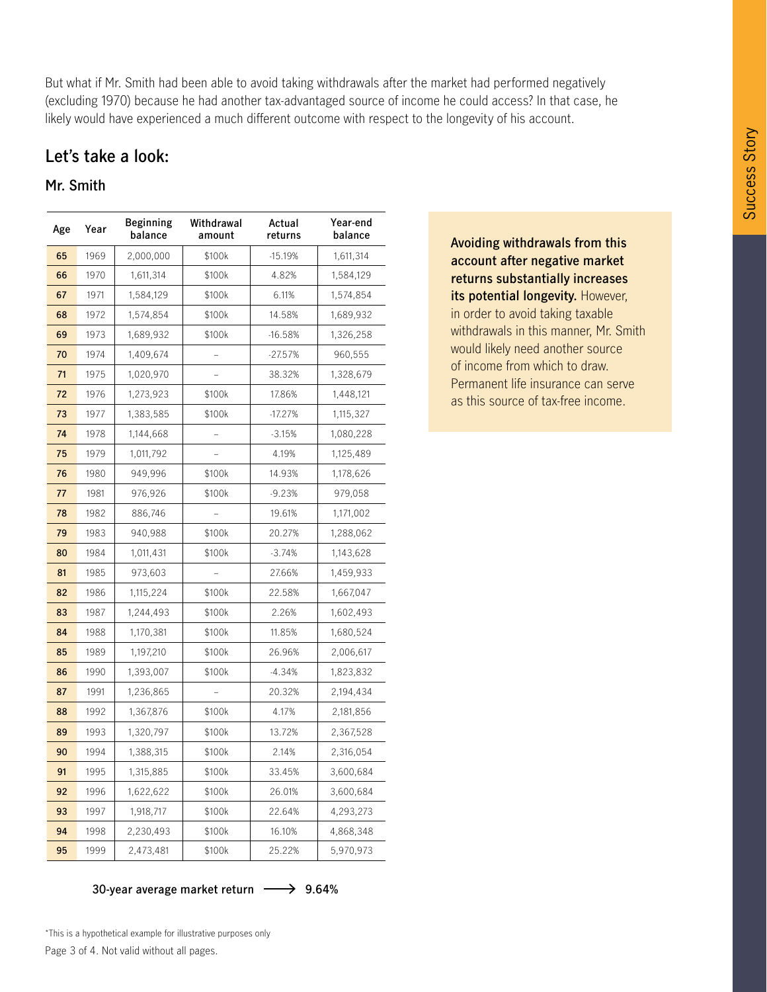But what if Mr. Smith had been able to avoid taking withdrawals after the market had performed negatively (excluding 1970) because he had another tax-advantaged source of income he could access? In that case, he likely would have experienced a much different outcome with respect to the longevity of his account.

#### **Let's take a look:**

#### **Mr. Smith**

| Age | Year | Beginning<br>balance | Withdrawal<br>amount | Actual<br>returns | Year-end<br>balance |
|-----|------|----------------------|----------------------|-------------------|---------------------|
| 65  | 1969 | 2,000,000            | \$100k               | $-15.19%$         | 1,611,314           |
| 66  | 1970 | 1,611,314            | \$100k               | 4.82%             | 1,584,129           |
| 67  | 1971 | 1,584,129            | \$100k               | 6.11%             | 1,574,854           |
| 68  | 1972 | 1,574,854            | \$100k               | 14.58%            | 1,689,932           |
| 69  | 1973 | 1,689,932            | \$100k               | $-16.58%$         | 1,326,258           |
| 70  | 1974 | 1,409,674            |                      | $-27.57%$         | 960,555             |
| 71  | 1975 | 1,020,970            |                      | 38.32%            | 1,328,679           |
| 72  | 1976 | 1,273,923            | \$100k               | 17.86%            | 1,448,121           |
| 73  | 1977 | 1,383,585            | \$100k               | $-17.27%$         | 1,115,327           |
| 74  | 1978 | 1,144,668            |                      | $-3.15%$          | 1,080,228           |
| 75  | 1979 | 1,011,792            |                      | 4.19%             | 1,125,489           |
| 76  | 1980 | 949,996              | \$100k               | 14.93%            | 1,178,626           |
| 77  | 1981 | 976,926              | \$100k               | $-9.23%$          | 979,058             |
| 78  | 1982 | 886,746              |                      | 19.61%            | 1,171,002           |
| 79  | 1983 | 940,988              | \$100k               | 20.27%            | 1,288,062           |
| 80  | 1984 | 1,011,431            | \$100k               | $-3.74%$          | 1,143,628           |
| 81  | 1985 | 973,603              |                      | 27.66%            | 1,459,933           |
| 82  | 1986 | 1,115,224            | \$100k               | 22.58%            | 1,667,047           |
| 83  | 1987 | 1,244,493            | \$100k               | 2.26%             | 1,602,493           |
| 84  | 1988 | 1,170,381            | \$100k               | 11.85%            | 1,680,524           |
| 85  | 1989 | 1,197,210            | \$100k               | 26.96%            | 2,006,617           |
| 86  | 1990 | 1,393,007            | \$100k               | $-4.34%$          | 1,823,832           |
| 87  | 1991 | 1,236,865            |                      | 20.32%            | 2,194,434           |
| 88  | 1992 | 1,367,876            | \$100k               | 4.17%             | 2,181,856           |
| 89  | 1993 | 1,320,797            | \$100k               | 13.72%            | 2,367,528           |
| 90  | 1994 | 1,388,315            | \$100k               | 2.14%             | 2,316,054           |
| 91  | 1995 | 1,315,885            | \$100k               | 33.45%            | 3,600,684           |
| 92  | 1996 | 1,622,622            | \$100k               | 26.01%            | 3,600,684           |
| 93  | 1997 | 1,918,717            | \$100k               | 22.64%            | 4,293,273           |
| 94  | 1998 | 2,230,493            | \$100k               | 16.10%            | 4,868,348           |
| 95  | 1999 | 2,473,481            | \$100k               | 25.22%            | 5,970,973           |

**Avoiding withdrawals from this account after negative market returns substantially increases its potential longevity.** However, in order to avoid taking taxable withdrawals in this manner, Mr. Smith would likely need another source of income from which to draw. Permanent life insurance can serve as this source of tax-free income.

**30-year average market return 9.64%**

Page 3 of 4. Not valid without all pages. \*This is a hypothetical example for illustrative purposes only